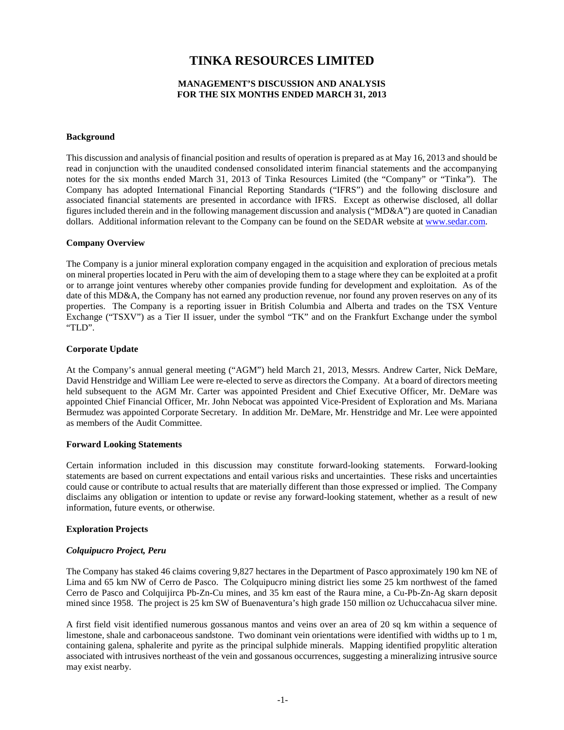# **TINKA RESOURCES LIMITED**

# **MANAGEMENT'S DISCUSSION AND ANALYSIS FOR THE SIX MONTHS ENDED MARCH 31, 2013**

## **Background**

This discussion and analysis of financial position and results of operation is prepared as at May 16, 2013 and should be read in conjunction with the unaudited condensed consolidated interim financial statements and the accompanying notes for the six months ended March 31, 2013 of Tinka Resources Limited (the "Company" or "Tinka"). The Company has adopted International Financial Reporting Standards ("IFRS") and the following disclosure and associated financial statements are presented in accordance with IFRS. Except as otherwise disclosed, all dollar figures included therein and in the following management discussion and analysis ("MD&A") are quoted in Canadian dollars. Additional information relevant to the Company can be found on the SEDAR website at www.sedar.com.

## **Company Overview**

The Company is a junior mineral exploration company engaged in the acquisition and exploration of precious metals on mineral properties located in Peru with the aim of developing them to a stage where they can be exploited at a profit or to arrange joint ventures whereby other companies provide funding for development and exploitation. As of the date of this MD&A, the Company has not earned any production revenue, nor found any proven reserves on any of its properties. The Company is a reporting issuer in British Columbia and Alberta and trades on the TSX Venture Exchange ("TSXV") as a Tier II issuer, under the symbol "TK" and on the Frankfurt Exchange under the symbol "TLD".

## **Corporate Update**

At the Company's annual general meeting ("AGM") held March 21, 2013, Messrs. Andrew Carter, Nick DeMare, David Henstridge and William Lee were re-elected to serve as directors the Company. At a board of directors meeting held subsequent to the AGM Mr. Carter was appointed President and Chief Executive Officer, Mr. DeMare was appointed Chief Financial Officer, Mr. John Nebocat was appointed Vice-President of Exploration and Ms. Mariana Bermudez was appointed Corporate Secretary. In addition Mr. DeMare, Mr. Henstridge and Mr. Lee were appointed as members of the Audit Committee.

## **Forward Looking Statements**

Certain information included in this discussion may constitute forward-looking statements. Forward-looking statements are based on current expectations and entail various risks and uncertainties. These risks and uncertainties could cause or contribute to actual results that are materially different than those expressed or implied. The Company disclaims any obligation or intention to update or revise any forward-looking statement, whether as a result of new information, future events, or otherwise.

# **Exploration Projects**

## *Colquipucro Project, Peru*

The Company has staked 46 claims covering 9,827 hectares in the Department of Pasco approximately 190 km NE of Lima and 65 km NW of Cerro de Pasco. The Colquipucro mining district lies some 25 km northwest of the famed Cerro de Pasco and Colquijirca Pb-Zn-Cu mines, and 35 km east of the Raura mine, a Cu-Pb-Zn-Ag skarn deposit mined since 1958. The project is 25 km SW of Buenaventura's high grade 150 million oz Uchuccahacua silver mine.

A first field visit identified numerous gossanous mantos and veins over an area of 20 sq km within a sequence of limestone, shale and carbonaceous sandstone. Two dominant vein orientations were identified with widths up to 1 m, containing galena, sphalerite and pyrite as the principal sulphide minerals. Mapping identified propylitic alteration associated with intrusives northeast of the vein and gossanous occurrences, suggesting a mineralizing intrusive source may exist nearby.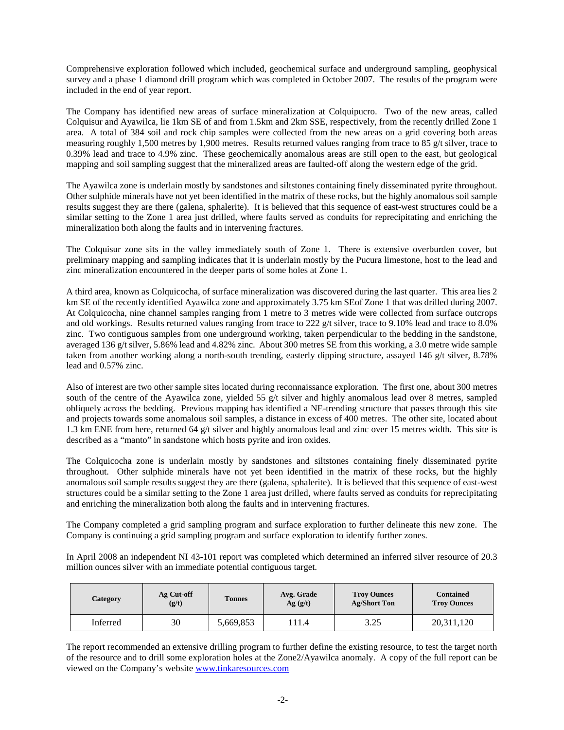Comprehensive exploration followed which included, geochemical surface and underground sampling, geophysical survey and a phase 1 diamond drill program which was completed in October 2007. The results of the program were included in the end of year report.

The Company has identified new areas of surface mineralization at Colquipucro. Two of the new areas, called Colquisur and Ayawilca, lie 1km SE of and from 1.5km and 2km SSE, respectively, from the recently drilled Zone 1 area. A total of 384 soil and rock chip samples were collected from the new areas on a grid covering both areas measuring roughly 1,500 metres by 1,900 metres. Results returned values ranging from trace to 85 g/t silver, trace to 0.39% lead and trace to 4.9% zinc. These geochemically anomalous areas are still open to the east, but geological mapping and soil sampling suggest that the mineralized areas are faulted-off along the western edge of the grid.

The Ayawilca zone is underlain mostly by sandstones and siltstones containing finely disseminated pyrite throughout. Other sulphide minerals have not yet been identified in the matrix of these rocks, but the highly anomalous soil sample results suggest they are there (galena, sphalerite). It is believed that this sequence of east-west structures could be a similar setting to the Zone 1 area just drilled, where faults served as conduits for reprecipitating and enriching the mineralization both along the faults and in intervening fractures.

The Colquisur zone sits in the valley immediately south of Zone 1. There is extensive overburden cover, but preliminary mapping and sampling indicates that it is underlain mostly by the Pucura limestone, host to the lead and zinc mineralization encountered in the deeper parts of some holes at Zone 1.

A third area, known as Colquicocha, of surface mineralization was discovered during the last quarter. This area lies 2 km SE of the recently identified Ayawilca zone and approximately 3.75 km SEof Zone 1 that was drilled during 2007. At Colquicocha, nine channel samples ranging from 1 metre to 3 metres wide were collected from surface outcrops and old workings. Results returned values ranging from trace to 222 g/t silver, trace to 9.10% lead and trace to 8.0% zinc. Two contiguous samples from one underground working, taken perpendicular to the bedding in the sandstone, averaged 136 g/t silver, 5.86% lead and 4.82% zinc. About 300 metres SE from this working, a 3.0 metre wide sample taken from another working along a north-south trending, easterly dipping structure, assayed 146 g/t silver, 8.78% lead and 0.57% zinc.

Also of interest are two other sample sites located during reconnaissance exploration. The first one, about 300 metres south of the centre of the Ayawilca zone, yielded 55 g/t silver and highly anomalous lead over 8 metres, sampled obliquely across the bedding. Previous mapping has identified a NE-trending structure that passes through this site and projects towards some anomalous soil samples, a distance in excess of 400 metres. The other site, located about 1.3 km ENE from here, returned 64 g/t silver and highly anomalous lead and zinc over 15 metres width. This site is described as a "manto" in sandstone which hosts pyrite and iron oxides.

The Colquicocha zone is underlain mostly by sandstones and siltstones containing finely disseminated pyrite throughout. Other sulphide minerals have not yet been identified in the matrix of these rocks, but the highly anomalous soil sample results suggest they are there (galena, sphalerite). It is believed that this sequence of east-west structures could be a similar setting to the Zone 1 area just drilled, where faults served as conduits for reprecipitating and enriching the mineralization both along the faults and in intervening fractures.

The Company completed a grid sampling program and surface exploration to further delineate this new zone. The Company is continuing a grid sampling program and surface exploration to identify further zones.

In April 2008 an independent NI 43-101 report was completed which determined an inferred silver resource of 20.3 million ounces silver with an immediate potential contiguous target.

| Category | Ag Cut-off<br>(g/t) | <b>Tonnes</b> | Avg. Grade<br>Ag(g/t) | <b>Troy Ounces</b><br><b>Ag/Short Ton</b> | <b>Contained</b><br><b>Troy Ounces</b> |  |
|----------|---------------------|---------------|-----------------------|-------------------------------------------|----------------------------------------|--|
| Inferred | 30                  | 5,669,853     | 111.4                 | 3.25                                      | 20,311,120                             |  |

The report recommended an extensive drilling program to further define the existing resource, to test the target north of the resource and to drill some exploration holes at the Zone2/Ayawilca anomaly. A copy of the full report can be viewed on the Company's website [www.tinkaresources.com](http://www.tinkaresources.com/)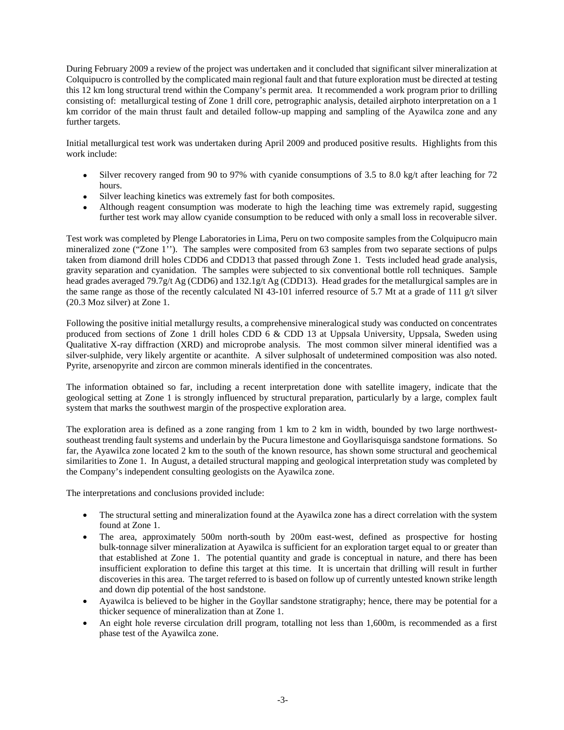During February 2009 a review of the project was undertaken and it concluded that significant silver mineralization at Colquipucro is controlled by the complicated main regional fault and that future exploration must be directed at testing this 12 km long structural trend within the Company's permit area. It recommended a work program prior to drilling consisting of: metallurgical testing of Zone 1 drill core, petrographic analysis, detailed airphoto interpretation on a 1 km corridor of the main thrust fault and detailed follow-up mapping and sampling of the Ayawilca zone and any further targets.

Initial metallurgical test work was undertaken during April 2009 and produced positive results. Highlights from this work include:

- Silver recovery ranged from 90 to 97% with cyanide consumptions of 3.5 to 8.0 kg/t after leaching for 72 hours.
- Silver leaching kinetics was extremely fast for both composites.
- Although reagent consumption was moderate to high the leaching time was extremely rapid, suggesting further test work may allow cyanide consumption to be reduced with only a small loss in recoverable silver.

Test work was completed by Plenge Laboratories in Lima, Peru on two composite samples from the Colquipucro main mineralized zone ("Zone 1"). The samples were composited from 63 samples from two separate sections of pulps taken from diamond drill holes CDD6 and CDD13 that passed through Zone 1. Tests included head grade analysis, gravity separation and cyanidation. The samples were subjected to six conventional bottle roll techniques. Sample head grades averaged 79.7g/t Ag (CDD6) and 132.1g/t Ag (CDD13). Head grades for the metallurgical samples are in the same range as those of the recently calculated NI 43-101 inferred resource of 5.7 Mt at a grade of 111 g/t silver (20.3 Moz silver) at Zone 1.

Following the positive initial metallurgy results, a comprehensive mineralogical study was conducted on concentrates produced from sections of Zone 1 drill holes CDD 6 & CDD 13 at Uppsala University, Uppsala, Sweden using Qualitative X-ray diffraction (XRD) and microprobe analysis. The most common silver mineral identified was a silver-sulphide, very likely argentite or acanthite. A silver sulphosalt of undetermined composition was also noted. Pyrite, arsenopyrite and zircon are common minerals identified in the concentrates.

The information obtained so far, including a recent interpretation done with satellite imagery, indicate that the geological setting at Zone 1 is strongly influenced by structural preparation, particularly by a large, complex fault system that marks the southwest margin of the prospective exploration area.

The exploration area is defined as a zone ranging from 1 km to 2 km in width, bounded by two large northwestsoutheast trending fault systems and underlain by the Pucura limestone and Goyllarisquisga sandstone formations. So far, the Ayawilca zone located 2 km to the south of the known resource, has shown some structural and geochemical similarities to Zone 1. In August, a detailed structural mapping and geological interpretation study was completed by the Company's independent consulting geologists on the Ayawilca zone.

The interpretations and conclusions provided include:

- The structural setting and mineralization found at the Ayawilca zone has a direct correlation with the system found at Zone 1.
- The area, approximately 500m north-south by 200m east-west, defined as prospective for hosting bulk-tonnage silver mineralization at Ayawilca is sufficient for an exploration target equal to or greater than that established at Zone 1. The potential quantity and grade is conceptual in nature, and there has been insufficient exploration to define this target at this time. It is uncertain that drilling will result in further discoveries in this area. The target referred to is based on follow up of currently untested known strike length and down dip potential of the host sandstone.
- Ayawilca is believed to be higher in the Goyllar sandstone stratigraphy; hence, there may be potential for a thicker sequence of mineralization than at Zone 1.
- An eight hole reverse circulation drill program, totalling not less than 1,600m, is recommended as a first phase test of the Ayawilca zone.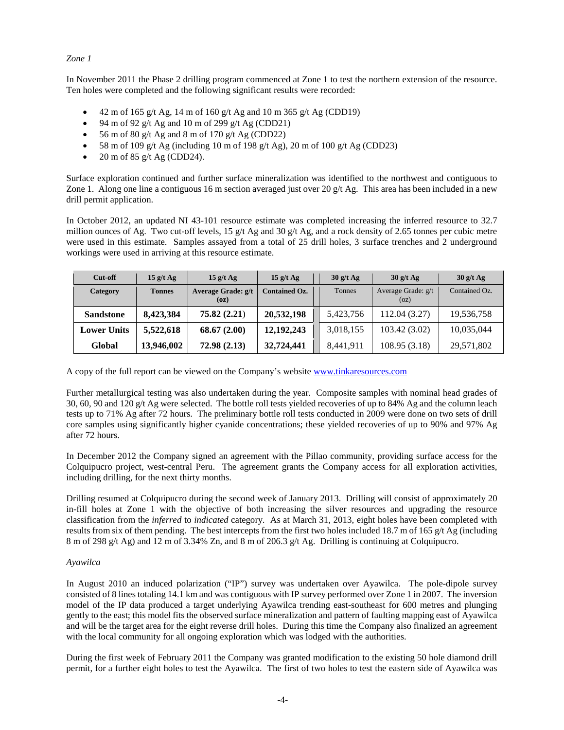# *Zone 1*

In November 2011 the Phase 2 drilling program commenced at Zone 1 to test the northern extension of the resource. Ten holes were completed and the following significant results were recorded:

- 42 m of 165 g/t Ag, 14 m of 160 g/t Ag and 10 m 365 g/t Ag (CDD19)
- 94 m of 92 g/t Ag and 10 m of 299 g/t Ag (CDD21)
- 56 m of 80 g/t Ag and 8 m of 170 g/t Ag (CDD22)
- 58 m of 109 g/t Ag (including 10 m of 198 g/t Ag), 20 m of 100 g/t Ag (CDD23)
- 20 m of 85 g/t Ag (CDD24).

Surface exploration continued and further surface mineralization was identified to the northwest and contiguous to Zone 1. Along one line a contiguous 16 m section averaged just over 20  $g/t$  Ag. This area has been included in a new drill permit application.

In October 2012, an updated NI 43-101 resource estimate was completed increasing the inferred resource to 32.7 million ounces of Ag. Two cut-off levels, 15 g/t Ag and 30 g/t Ag, and a rock density of 2.65 tonnes per cubic metre were used in this estimate. Samples assayed from a total of 25 drill holes, 3 surface trenches and 2 underground workings were used in arriving at this resource estimate.

| Cut-off            | $15$ g/t Ag   | $15$ g/t Ag                | 15 g/t Ag            | $30$ g/t Ag | $30$ g/t Ag                | $30$ g/t Ag   |
|--------------------|---------------|----------------------------|----------------------|-------------|----------------------------|---------------|
| Category           | <b>Tonnes</b> | Average Grade: g/t<br>(oz) | <b>Contained Oz.</b> | Tonnes      | Average Grade: g/t<br>(oz) | Contained Oz. |
| <b>Sandstone</b>   | 8,423,384     | 75.82(2.21)                | 20,532,198           | 5,423,756   | 112.04 (3.27)              | 19,536,758    |
| <b>Lower Units</b> | 5,522,618     | 68.67(2.00)                | 12, 192, 243         | 3,018,155   | 103.42(3.02)               | 10,035,044    |
| Global             | 13,946,002    | 72.98(2.13)                | 32,724,441           | 8,441,911   | 108.95 (3.18)              | 29,571,802    |

A copy of the full report can be viewed on the Company's website [www.tinkaresources.com](http://www.tinkaresources.com/) 

Further metallurgical testing was also undertaken during the year. Composite samples with nominal head grades of 30, 60, 90 and 120 g/t Ag were selected. The bottle roll tests yielded recoveries of up to 84% Ag and the column leach tests up to 71% Ag after 72 hours. The preliminary bottle roll tests conducted in 2009 were done on two sets of drill core samples using significantly higher cyanide concentrations; these yielded recoveries of up to 90% and 97% Ag after 72 hours.

In December 2012 the Company signed an agreement with the Pillao community, providing surface access for the Colquipucro project, west-central Peru. The agreement grants the Company access for all exploration activities, including drilling, for the next thirty months.

Drilling resumed at Colquipucro during the second week of January 2013. Drilling will consist of approximately 20 in-fill holes at Zone 1 with the objective of both increasing the silver resources and upgrading the resource classification from the *inferred* to *indicated* category. As at March 31, 2013, eight holes have been completed with results from six of them pending. The best intercepts from the first two holes included 18.7 m of 165 g/t Ag (including 8 m of 298 g/t Ag) and 12 m of 3.34% Zn, and 8 m of 206.3 g/t Ag. Drilling is continuing at Colquipucro.

# *Ayawilca*

In August 2010 an induced polarization ("IP") survey was undertaken over Ayawilca. The pole-dipole survey consisted of 8 lines totaling 14.1 km and was contiguous with IP survey performed over Zone 1 in 2007. The inversion model of the IP data produced a target underlying Ayawilca trending east-southeast for 600 metres and plunging gently to the east; this model fits the observed surface mineralization and pattern of faulting mapping east of Ayawilca and will be the target area for the eight reverse drill holes. During this time the Company also finalized an agreement with the local community for all ongoing exploration which was lodged with the authorities.

During the first week of February 2011 the Company was granted modification to the existing 50 hole diamond drill permit, for a further eight holes to test the Ayawilca. The first of two holes to test the eastern side of Ayawilca was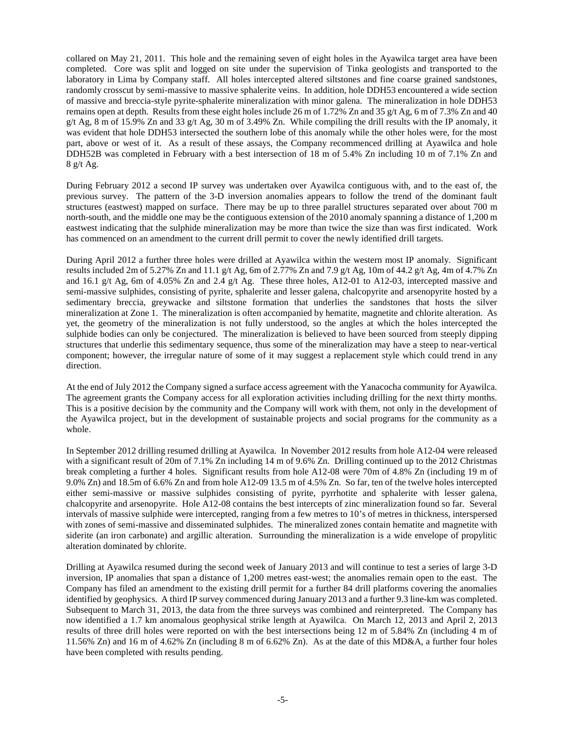collared on May 21, 2011. This hole and the remaining seven of eight holes in the Ayawilca target area have been completed. Core was split and logged on site under the supervision of Tinka geologists and transported to the laboratory in Lima by Company staff. All holes intercepted altered siltstones and fine coarse grained sandstones, randomly crosscut by semi-massive to massive sphalerite veins. In addition, hole DDH53 encountered a wide section of massive and breccia-style pyrite-sphalerite mineralization with minor galena. The mineralization in hole DDH53 remains open at depth. Results from these eight holes include 26 m of 1.72% Zn and 35 g/t Ag, 6 m of 7.3% Zn and 40 g/t Ag, 8 m of 15.9% Zn and 33 g/t Ag, 30 m of 3.49% Zn. While compiling the drill results with the IP anomaly, it was evident that hole DDH53 intersected the southern lobe of this anomaly while the other holes were, for the most part, above or west of it. As a result of these assays, the Company recommenced drilling at Ayawilca and hole DDH52B was completed in February with a best intersection of 18 m of 5.4% Zn including 10 m of 7.1% Zn and 8 g/t Ag.

During February 2012 a second IP survey was undertaken over Ayawilca contiguous with, and to the east of, the previous survey. The pattern of the 3-D inversion anomalies appears to follow the trend of the dominant fault structures (eastwest) mapped on surface. There may be up to three parallel structures separated over about 700 m north-south, and the middle one may be the contiguous extension of the 2010 anomaly spanning a distance of 1,200 m eastwest indicating that the sulphide mineralization may be more than twice the size than was first indicated. Work has commenced on an amendment to the current drill permit to cover the newly identified drill targets.

During April 2012 a further three holes were drilled at Ayawilca within the western most IP anomaly. Significant results included 2m of 5.27% Zn and 11.1 g/t Ag, 6m of 2.77% Zn and 7.9 g/t Ag, 10m of 44.2 g/t Ag, 4m of 4.7% Zn and 16.1 g/t Ag, 6m of 4.05% Zn and 2.4 g/t Ag. These three holes, A12-01 to A12-03, intercepted massive and semi-massive sulphides, consisting of pyrite, sphalerite and lesser galena, chalcopyrite and arsenopyrite hosted by a sedimentary breccia, greywacke and siltstone formation that underlies the sandstones that hosts the silver mineralization at Zone 1. The mineralization is often accompanied by hematite, magnetite and chlorite alteration. As yet, the geometry of the mineralization is not fully understood, so the angles at which the holes intercepted the sulphide bodies can only be conjectured. The mineralization is believed to have been sourced from steeply dipping structures that underlie this sedimentary sequence, thus some of the mineralization may have a steep to near-vertical component; however, the irregular nature of some of it may suggest a replacement style which could trend in any direction.

At the end of July 2012 the Company signed a surface access agreement with the Yanacocha community for Ayawilca. The agreement grants the Company access for all exploration activities including drilling for the next thirty months. This is a positive decision by the community and the Company will work with them, not only in the development of the Ayawilca project, but in the development of sustainable projects and social programs for the community as a whole.

In September 2012 drilling resumed drilling at Ayawilca. In November 2012 results from hole A12-04 were released with a significant result of 20m of 7.1% Zn including 14 m of 9.6% Zn. Drilling continued up to the 2012 Christmas break completing a further 4 holes. Significant results from hole A12-08 were 70m of 4.8% Zn (including 19 m of 9.0% Zn) and 18.5m of 6.6% Zn and from hole A12-09 13.5 m of 4.5% Zn. So far, ten of the twelve holes intercepted either semi-massive or massive sulphides consisting of pyrite, pyrrhotite and sphalerite with lesser galena, chalcopyrite and arsenopyrite. Hole A12-08 contains the best intercepts of zinc mineralization found so far. Several intervals of massive sulphide were intercepted, ranging from a few metres to 10's of metres in thickness, interspersed with zones of semi-massive and disseminated sulphides. The mineralized zones contain hematite and magnetite with siderite (an iron carbonate) and argillic alteration. Surrounding the mineralization is a wide envelope of propylitic alteration dominated by chlorite.

Drilling at Ayawilca resumed during the second week of January 2013 and will continue to test a series of large 3-D inversion, IP anomalies that span a distance of 1,200 metres east-west; the anomalies remain open to the east. The Company has filed an amendment to the existing drill permit for a further 84 drill platforms covering the anomalies identified by geophysics. A third IP survey commenced during January 2013 and a further 9.3 line-km was completed. Subsequent to March 31, 2013, the data from the three surveys was combined and reinterpreted. The Company has now identified a 1.7 km anomalous geophysical strike length at Ayawilca. On March 12, 2013 and April 2, 2013 results of three drill holes were reported on with the best intersections being 12 m of 5.84% Zn (including 4 m of 11.56% Zn) and 16 m of 4.62% Zn (including 8 m of 6.62% Zn). As at the date of this MD&A, a further four holes have been completed with results pending.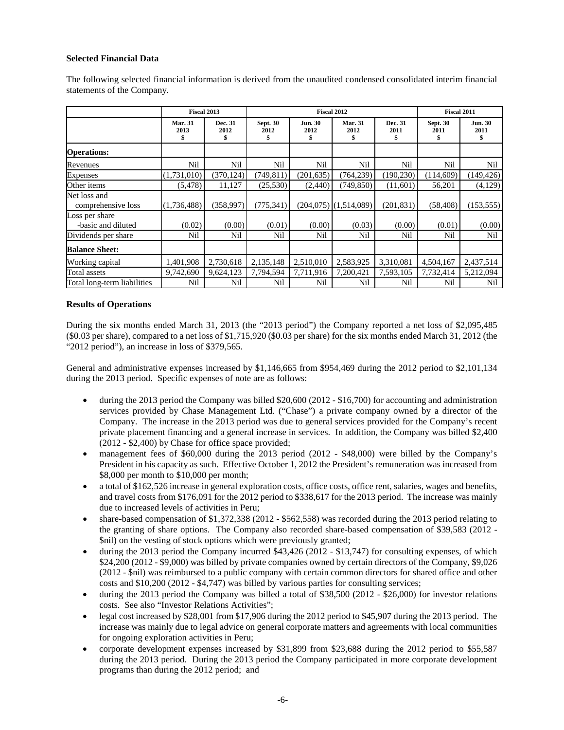# **Selected Financial Data**

The following selected financial information is derived from the unaudited condensed consolidated interim financial statements of the Company.

|                                      | Fiscal 2013                  |                      | <b>Fiscal 2012</b>      |                              |                              |                 | Fiscal 2011                   |                             |
|--------------------------------------|------------------------------|----------------------|-------------------------|------------------------------|------------------------------|-----------------|-------------------------------|-----------------------------|
|                                      | <b>Mar. 31</b><br>2013<br>\$ | Dec. 31<br>2012<br>s | <b>Sept. 30</b><br>2012 | <b>Jun. 30</b><br>2012<br>\$ | <b>Mar. 31</b><br>2012<br>\$ | Dec. 31<br>2011 | <b>Sept. 30</b><br>2011<br>\$ | <b>Jun. 30</b><br>2011<br>5 |
| <b>Operations:</b>                   |                              |                      |                         |                              |                              |                 |                               |                             |
| Revenues                             | Nil                          | Nil                  | Nil                     | Nil                          | Nil                          | Nil             | Nil                           | Nil                         |
| <b>Expenses</b>                      | (1,731,010)                  | (370, 124)           | (749, 811)              | (201, 635)                   | (764, 239)                   | (190, 230)      | (114, 609)                    | (149, 426)                  |
| Other items                          | (5, 478)                     | 11,127               | (25,530)                | (2,440)                      | (749, 850)                   | (11,601)        | 56,201                        | (4,129)                     |
| Net loss and<br>comprehensive loss   | (1,736,488)                  | (358,997)            | (775, 341)              |                              | $(204,075)$ $(1,514,089)$    | (201, 831)      | (58, 408)                     | (153, 555)                  |
| Loss per share<br>-basic and diluted | (0.02)                       | (0.00)               | (0.01)                  | (0.00)                       | (0.03)                       | (0.00)          | (0.01)                        | (0.00)                      |
| Dividends per share                  | Nil                          | Nil                  | Nil                     | Nil                          | Nil                          | Nil             | Nil                           | Nil                         |
| <b>Balance Sheet:</b>                |                              |                      |                         |                              |                              |                 |                               |                             |
| Working capital                      | 1,401,908                    | 2,730,618            | 2,135,148               | 2,510,010                    | 2,583,925                    | 3,310,081       | 4,504,167                     | 2,437,514                   |
| Total assets                         | 9,742,690                    | 9,624,123            | 7,794,594               | 7,711,916                    | 7,200,421                    | 7,593,105       | 7,732,414                     | 5,212,094                   |
| Total long-term liabilities          | Nil                          | Nil                  | Nil                     | Nil                          | Nil                          | Nil             | Nil                           | Nil                         |

# **Results of Operations**

During the six months ended March 31, 2013 (the "2013 period") the Company reported a net loss of \$2,095,485  $($ \$0.03 per share), compared to a net loss of \$1,715,920 (\$0.03 per share) for the six months ended March 31, 2012 (the "2012 period"), an increase in loss of \$379,565.

General and administrative expenses increased by \$1,146,665 from \$954,469 during the 2012 period to \$2,101,134 during the 2013 period. Specific expenses of note are as follows:

- during the 2013 period the Company was billed \$20,600 (2012 \$16,700) for accounting and administration services provided by Chase Management Ltd. ("Chase") a private company owned by a director of the Company. The increase in the 2013 period was due to general services provided for the Company's recent private placement financing and a general increase in services. In addition, the Company was billed \$2,400 (2012 - \$2,400) by Chase for office space provided;
- management fees of \$60,000 during the 2013 period (2012 \$48,000) were billed by the Company's President in his capacity as such. Effective October 1, 2012 the President's remuneration was increased from \$8,000 per month to \$10,000 per month;
- a total of \$162,526 increase in general exploration costs, office costs, office rent, salaries, wages and benefits, and travel costs from \$176,091 for the 2012 period to \$338,617 for the 2013 period. The increase was mainly due to increased levels of activities in Peru;
- share-based compensation of \$1,372,338 (2012 \$562,558) was recorded during the 2013 period relating to the granting of share options. The Company also recorded share-based compensation of \$39,583 (2012 - \$nil) on the vesting of stock options which were previously granted;
- during the 2013 period the Company incurred \$43,426 (2012 \$13,747) for consulting expenses, of which \$24,200 (2012 - \$9,000) was billed by private companies owned by certain directors of the Company, \$9,026 (2012 - \$nil) was reimbursed to a public company with certain common directors for shared office and other costs and \$10,200 (2012 - \$4,747) was billed by various parties for consulting services;
- during the 2013 period the Company was billed a total of \$38,500 (2012 \$26,000) for investor relations costs. See also "Investor Relations Activities";
- legal cost increased by \$28,001 from \$17,906 during the 2012 period to \$45,907 during the 2013 period. The increase was mainly due to legal advice on general corporate matters and agreements with local communities for ongoing exploration activities in Peru;
- corporate development expenses increased by \$31,899 from \$23,688 during the 2012 period to \$55,587 during the 2013 period. During the 2013 period the Company participated in more corporate development programs than during the 2012 period; and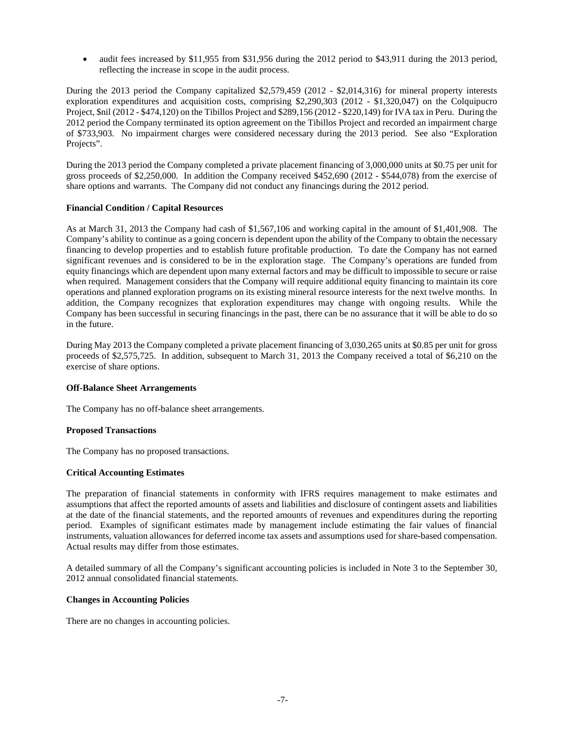• audit fees increased by \$11,955 from \$31,956 during the 2012 period to \$43,911 during the 2013 period, reflecting the increase in scope in the audit process.

During the 2013 period the Company capitalized \$2,579,459 (2012 - \$2,014,316) for mineral property interests exploration expenditures and acquisition costs, comprising \$2,290,303 (2012 - \$1,320,047) on the Colquipucro Project, \$nil (2012 - \$474,120) on the Tibillos Project and \$289,156 (2012 - \$220,149) for IVA tax in Peru. During the 2012 period the Company terminated its option agreement on the Tibillos Project and recorded an impairment charge of \$733,903. No impairment charges were considered necessary during the 2013 period. See also "Exploration Projects".

During the 2013 period the Company completed a private placement financing of 3,000,000 units at \$0.75 per unit for gross proceeds of \$2,250,000. In addition the Company received \$452,690 (2012 - \$544,078) from the exercise of share options and warrants. The Company did not conduct any financings during the 2012 period.

# **Financial Condition / Capital Resources**

As at March 31, 2013 the Company had cash of \$1,567,106 and working capital in the amount of \$1,401,908. The Company's ability to continue as a going concern is dependent upon the ability of the Company to obtain the necessary financing to develop properties and to establish future profitable production. To date the Company has not earned significant revenues and is considered to be in the exploration stage. The Company's operations are funded from equity financings which are dependent upon many external factors and may be difficult to impossible to secure or raise when required. Management considers that the Company will require additional equity financing to maintain its core operations and planned exploration programs on its existing mineral resource interests for the next twelve months. In addition, the Company recognizes that exploration expenditures may change with ongoing results. While the Company has been successful in securing financings in the past, there can be no assurance that it will be able to do so in the future.

During May 2013 the Company completed a private placement financing of 3,030,265 units at \$0.85 per unit for gross proceeds of \$2,575,725. In addition, subsequent to March 31, 2013 the Company received a total of \$6,210 on the exercise of share options.

# **Off-Balance Sheet Arrangements**

The Company has no off-balance sheet arrangements.

## **Proposed Transactions**

The Company has no proposed transactions.

## **Critical Accounting Estimates**

The preparation of financial statements in conformity with IFRS requires management to make estimates and assumptions that affect the reported amounts of assets and liabilities and disclosure of contingent assets and liabilities at the date of the financial statements, and the reported amounts of revenues and expenditures during the reporting period. Examples of significant estimates made by management include estimating the fair values of financial instruments, valuation allowances for deferred income tax assets and assumptions used for share-based compensation. Actual results may differ from those estimates.

A detailed summary of all the Company's significant accounting policies is included in Note 3 to the September 30, 2012 annual consolidated financial statements.

## **Changes in Accounting Policies**

There are no changes in accounting policies.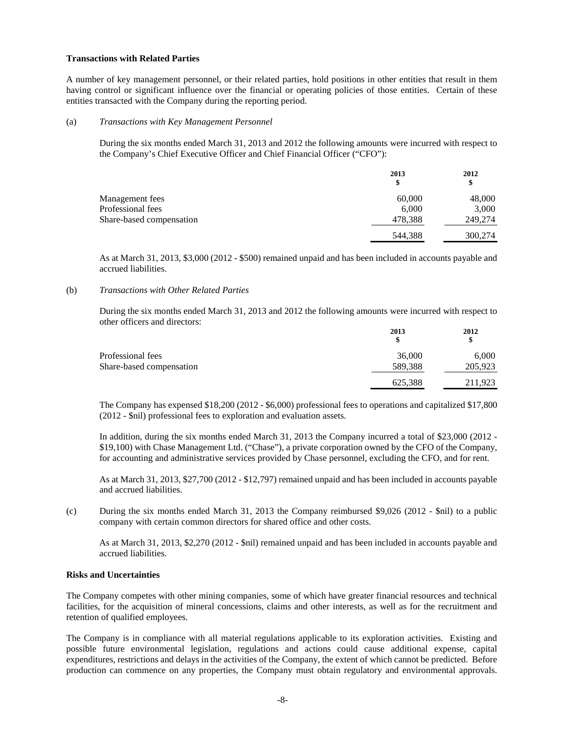## **Transactions with Related Parties**

A number of key management personnel, or their related parties, hold positions in other entities that result in them having control or significant influence over the financial or operating policies of those entities. Certain of these entities transacted with the Company during the reporting period.

## (a) *Transactions with Key Management Personnel*

During the six months ended March 31, 2013 and 2012 the following amounts were incurred with respect to the Company's Chief Executive Officer and Chief Financial Officer ("CFO"):

|                          | 2013<br>\$ | 2012<br>\$ |
|--------------------------|------------|------------|
| Management fees          | 60,000     | 48,000     |
| Professional fees        | 6,000      | 3,000      |
| Share-based compensation | 478,388    | 249,274    |
|                          | 544,388    | 300,274    |

As at March 31, 2013, \$3,000 (2012 - \$500) remained unpaid and has been included in accounts payable and accrued liabilities.

# (b) *Transactions with Other Related Parties*

During the six months ended March 31, 2013 and 2012 the following amounts were incurred with respect to other officers and directors:

|                          | 2013    | 2012<br>\$ |
|--------------------------|---------|------------|
| Professional fees        | 36,000  | 6,000      |
| Share-based compensation | 589,388 | 205,923    |
|                          | 625,388 | 211,923    |

The Company has expensed \$18,200 (2012 - \$6,000) professional fees to operations and capitalized \$17,800 (2012 - \$nil) professional fees to exploration and evaluation assets.

In addition, during the six months ended March 31, 2013 the Company incurred a total of \$23,000 (2012 - \$19,100) with Chase Management Ltd. ("Chase"), a private corporation owned by the CFO of the Company, for accounting and administrative services provided by Chase personnel, excluding the CFO, and for rent.

As at March 31, 2013, \$27,700 (2012 - \$12,797) remained unpaid and has been included in accounts payable and accrued liabilities.

(c) During the six months ended March 31, 2013 the Company reimbursed \$9,026 (2012 - \$nil) to a public company with certain common directors for shared office and other costs.

As at March 31, 2013, \$2,270 (2012 - \$nil) remained unpaid and has been included in accounts payable and accrued liabilities.

## **Risks and Uncertainties**

The Company competes with other mining companies, some of which have greater financial resources and technical facilities, for the acquisition of mineral concessions, claims and other interests, as well as for the recruitment and retention of qualified employees.

The Company is in compliance with all material regulations applicable to its exploration activities. Existing and possible future environmental legislation, regulations and actions could cause additional expense, capital expenditures, restrictions and delays in the activities of the Company, the extent of which cannot be predicted. Before production can commence on any properties, the Company must obtain regulatory and environmental approvals.